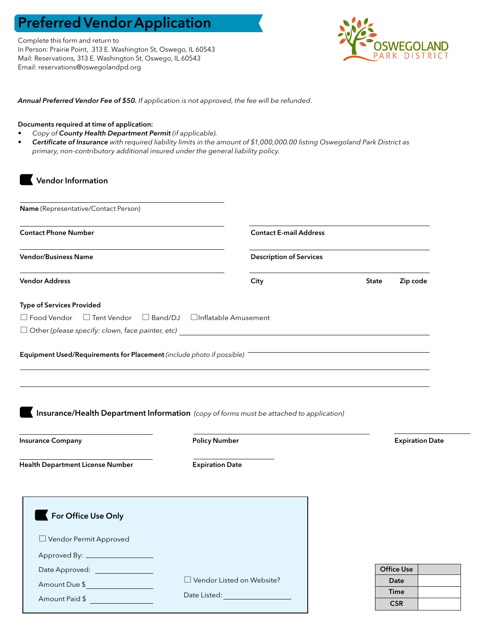## Preferred Vendor Application

Complete this form and return to In Person: Prairie Point, 313 E. Washington St, Oswego, IL 60543 Mail: Reservations, 313 E. Washington St, Oswego, IL 60543 Email: reservations@oswegolandpd.org



*Annual Preferred Vendor Fee of \$50. If application is not approved, the fee will be refunded.*

## Documents required at time of application:

Amount Due \$

Amount Paid \$

- *• Copy of County Health Department Permit (if applicable).*
- *• Certificate of Insurance with required liability limits in the amount of \$1,000,000.00 listing Oswegoland Park District as primary, non-contributory additional insured under the general liability policy.*

| Name (Representative/Contact Person)                                                    |                                            |                               |                                |                          |                        |  |
|-----------------------------------------------------------------------------------------|--------------------------------------------|-------------------------------|--------------------------------|--------------------------|------------------------|--|
|                                                                                         |                                            |                               |                                |                          |                        |  |
| <b>Contact Phone Number</b>                                                             |                                            | <b>Contact E-mail Address</b> |                                |                          |                        |  |
| <b>Vendor/Business Name</b>                                                             |                                            |                               | <b>Description of Services</b> |                          |                        |  |
| <b>Vendor Address</b>                                                                   |                                            | City                          |                                | Zip code<br><b>State</b> |                        |  |
| <b>Type of Services Provided</b>                                                        |                                            |                               |                                |                          |                        |  |
| $\Box$ Food Vendor $\Box$ Tent Vendor                                                   | $\Box$ Band/DJ $\Box$ Inflatable Amusement |                               |                                |                          |                        |  |
|                                                                                         |                                            |                               |                                |                          |                        |  |
| Insurance/Health Department Information (copy of forms must be attached to application) |                                            |                               |                                |                          |                        |  |
| <b>Insurance Company</b>                                                                | <b>Policy Number</b>                       |                               |                                |                          | <b>Expiration Date</b> |  |
| Health Department License Number                                                        | <b>Expiration Date</b>                     |                               |                                |                          |                        |  |
|                                                                                         |                                            |                               |                                |                          |                        |  |
| For Office Use Only                                                                     |                                            |                               |                                |                          |                        |  |
| □ Vendor Permit Approved                                                                |                                            |                               |                                |                          |                        |  |
|                                                                                         |                                            |                               |                                |                          |                        |  |
| Date Approved:                                                                          |                                            |                               |                                | <b>Office Use</b>        |                        |  |

Vendor Listed on Website?

Date Listed:

| <b>Office Use</b> |  |
|-------------------|--|
| Date              |  |
| Time              |  |
| <b>CSR</b>        |  |